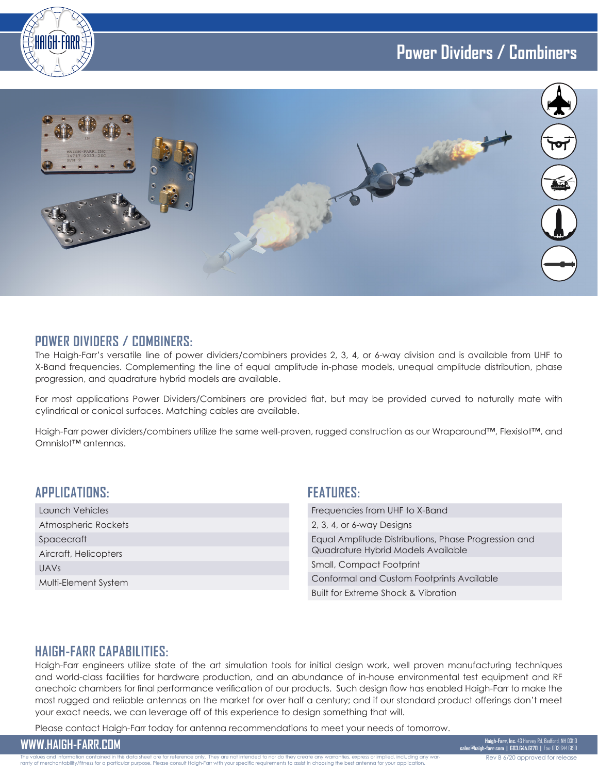





#### **POWER DIVIDERS / COMBINERS:**

The Haigh-Farr's versatile line of power dividers/combiners provides 2, 3, 4, or 6-way division and is available from UHF to X-Band frequencies. Complementing the line of equal amplitude in-phase models, unequal amplitude distribution, phase progression, and quadrature hybrid models are available.

For most applications Power Dividers/Combiners are provided flat, but may be provided curved to naturally mate with cylindrical or conical surfaces. Matching cables are available.

Haigh-Farr power dividers/combiners utilize the same well-proven, rugged construction as our Wraparound™, Flexislot™, and Omnislot™ antennas.

## **APPLICATIONS:**

| Launch Vehicles       |
|-----------------------|
| Atmospheric Rockets   |
| Spacecraft            |
| Aircraft, Helicopters |
| UAVS                  |
| Multi-Element System  |
|                       |

#### **FEATURES:**

## **HAIGH-FARR CAPABILITIES:**

Haigh-Farr engineers utilize state of the art simulation tools for initial design work, well proven manufacturing techniques and world-class facilities for hardware production, and an abundance of in-house environmental test equipment and RF anechoic chambers for final performance verification of our products. Such design flow has enabled Haigh-Farr to make the most rugged and reliable antennas on the market for over half a century; and if our standard product offerings don't meet your exact needs, we can leverage off of this experience to design something that will.

Please contact Haigh-Farr today for antenna recommendations to meet your needs of tomorrow.

**WWW.HAIGH-FARR.COM Haigh-Farr, Inc.** 43 Harvey Rd, Bedford, NH 03110

The values and information contained in this data sheet are for reference only. They are not intended to nor do they create any warranties, express or implied, including any war-<br>ranty of merchantability/fitness for a part